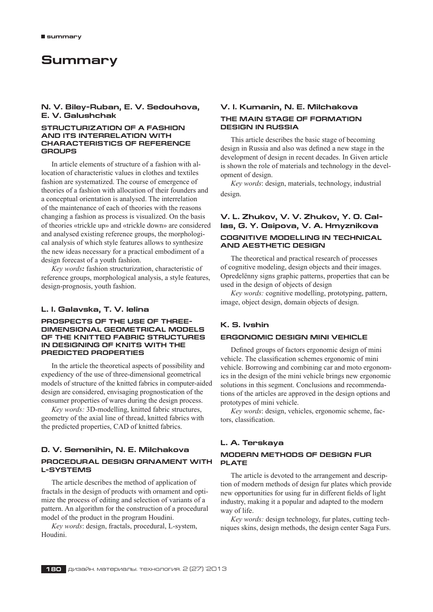# **Summary**

# **N. V. Biley−Ruban, E. V. Sedouhova, E. V. Galushchak**

### **STRUCTURIZATION OF A FASHION AND ITS INTERRELATION WITH CHARACTERISTICS OF REFERENCE GROUPS**

In article elements of structure of a fashion with allocation of characteristic values in clothes and textiles fashion are systematized. The course of emergence of theories of a fashion with allocation of their founders and a conceptual orientation is analysed. The interrelation of the maintenance of each of theories with the reasons changing a fashion as process is visualized. On the basis of theories «trickle up» and «trickle down» are considered and analysed existing reference groups, the morphological analysis of which style features allows to synthesize the new ideas necessary for a practical embodiment of a design forecast of a youth fashion.

*Key words:* fashion structurization, characteristic of reference groups, morphological analysis, a style features, design-prognosis, youth fashion.

# **L. I. Galavska, T. V. Ielina**

### **PROSPECTS OF THE USE OF THREE− DIMENSIONAL GEOMETRICAL MODELS OF THE KNITTED FABRIC STRUCTURES IN DESIGNING OF KNITS WITH THE PREDICTED PROPERTIES**

In the article the theoretical aspects of possibility and expediency of the use of three-dimensional geometrical models of structure of the knitted fabrics in computer-aided design are considered, envisaging prognostication of the consumer properties of wares during the design process.

*Key words:* 3D-modelling, knitted fabric structures, geometry of the axial line of thread, knitted fabrics with the predicted properties, CAD of knitted fabrics.

# **D. V. Semenihin, N. E. Milchakova PROCEDURAL DESIGN ORNAMENT WITH L−SYSTEMS**

The article describes the method of application of fractals in the design of products with ornament and optimize the process of editing and selection of variants of a pattern. An algorithm for the construction of a procedural model of the product in the program Houdini.

*Key words*: design, fractals, procedural, L-system, Houdini.

# **V. I. Kumanin, N. E. Milchakova THE MAIN STAGE OF FORMATION DESIGN IN RUSSIA**

This article describes the basic stage of becoming design in Russia and also was defined a new stage in the development of design in recent decades. In Given article is shown the role of materials and technology in the development of design.

*Key words*: design, materials, technology, industrial design.

# **V. L. Zhukov, V. V. Zhukov, Y. O. Cal− las, G. Y. Osipova, V. A. Hmyznikova**

# **COGNITIVE MODELLING IN TECHNICAL AND AESTHETIC DESIGN**

The theoretical and practical research of processes of cognitive modeling, design objects and their images. Opredelënny signs graphic patterns, properties that can be used in the design of objects of design

*Key words:* cognitive modelling, prototyping, pattern, image, object design, domain objects of design.

# **K. S. Ivshin**

# **ERGONOMIC DESIGN MINI VEHICLE**

Defined groups of factors ergonomic design of mini vehicle. The classification schemes ergonomic of mini vehicle. Borrowing and combining car and moto ergonomics in the design of the mini vehicle brings new ergonomic solutions in this segment. Conclusions and recommendations of the articles are approved in the design options and prototypes of mini vehicle.

*Key words*: design, vehicles, ergonomic scheme, factors, classification.

# **L. A. Terskaya MODERN METHODS OF DESIGN FUR PLATE**

The article is devoted to the arrangement and description of modern methods of design fur plates which provide new opportunities for using fur in different fields of light industry, making it a popular and adapted to the modern way of life.

*Key words:* design technology, fur plates, cutting techniques skins, design methods, the design center Saga Furs.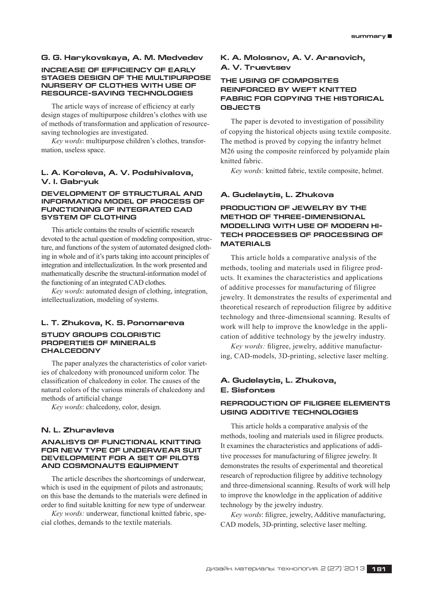### **G. G. Harykovskaya, A. M. Medvedev**

### **INCREASE OF EFFICIENCY OF EARLY STAGES DESIGN OF THE MULTIPURPOSE NURSERY OF CLOTHES WITH USE OF RESOURCE−SAVING TECHNOLOGIES**

The article ways of increase of efficiency at early design stages of multipurpose children's clothes with use of methods of transformation and application of resourcesaving technologies are investigated.

*Key words*: multipurpose children's clothes, transformation, useless space.

### **L. A. Koroleva, A. V. Podshivalova, V. I. Gabryuk**

### **DEVELOPMENT OF STRUCTURAL AND INFORMATION MODEL OF PROCESS OF FUNCTIONING OF INTEGRATED CAD SYSTEM OF CLOTHING**

This article contains the results of scientific research devoted to the actual question of modeling composition, structure, and functions of the system of automated designed clothing in whole and of it's parts taking into account principles of integration and intellectualization. In the work presented and mathematically describe the structural-information model of the functioning of an integrated CAD clothes.

*Key words*: automated design of clothing, integration, intellectualization, modeling of systems.

### **L. T. Zhukova, K. S. Ponomareva**

## **STUDY GROUPS COLORISTIC PROPERTIES OF MINERALS CHALCEDONY**

The paper analyzes the characteristics of color varieties of chalcedony with pronounced uniform color. The classification of chalcedony in color. The causes of the natural colors of the various minerals of chalcedony and methods of artificial change

*Key words*: chalcedony, color, design.

### **N. L. Zhuravleva**

### **ANALISYS OF FUNCTIONAL KNITTING FOR NEW TYPE OF UNDERWEAR SUIT DEVELOPMENT FOR A SET OF PILOTS AND COSMONAUTS EQUIPMENT**

The article describes the shortcomings of underwear, which is used in the equipment of pilots and astronauts; on this base the demands to the materials were defined in order to find suitable knitting for new type of underwear.

*Key words:* underwear, functional knitted fabric, special clothes, demands to the textile materials.

# **K. A. Molosnov, A. V. Aranovich, A. V. Truevtsev**

# **THE USING OF COMPOSITES REINFORCED BY WEFT KNITTED FABRIC FOR COPYING THE HISTORICAL OBJECTS**

The paper is devoted to investigation of possibility of copying the historical objects using textile composite. The method is proved by copying the infantry helmet M26 using the composite reinforced by polyamide plain knitted fabric.

*Key words:* knitted fabric, textile composite, helmet.

### **A. Gudelaytis, L. Zhukova**

**PRODUCTION OF JEWELRY BY THE METHOD OF THREE−DIMENSIONAL MODELLING WITH USE OF MODERN HI− TECH PROCESSES OF PROCESSING OF MATERIALS**

This article holds a comparative analysis of the methods, tooling and materials used in filigree products. It examines the characteristics and applications of additive processes for manufacturing of filigree jewelry. It demonstrates the results of experimental and theoretical research of reproduction filigree by additive technology and three-dimensional scanning. Results of work will help to improve the knowledge in the application of additive technology by the jewelry industry.

*Key words:* filigree, jewelry, additive manufacturing, CAD-models, 3D-printing, selective laser melting.

# **A. Gudelaytis, L. Zhukova, E. Sisfontes**

# **REPRODUCTION OF FILIGREE ELEMENTS USING ADDITIVE TECHNOLOGIES**

This article holds a comparative analysis of the methods, tooling and materials used in filigree products. It examines the characteristics and applications of additive processes for manufacturing of filigree jewelry. It demonstrates the results of experimental and theoretical research of reproduction filigree by additive technology and three-dimensional scanning. Results of work will help to improve the knowledge in the application of additive technology by the jewelry industry.

*Key words*: filigree, jewelry, Additive manufacturing, CAD models, 3D-printing, selective laser melting.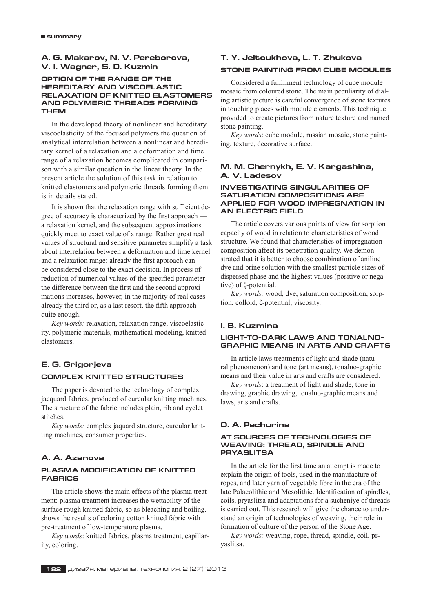# **A. G. Makarov, N. V. Pereborova, V. I. Wagner, S. D. Kuzmin**

# **OPTION OF THE RANGE OF THE HEREDITARY AND VISCOELASTIC RELAXATION OF KNITTED ELASTOMERS AND POLYMERIC THREADS FORMING THEM**

In the developed theory of nonlinear and hereditary viscoelasticity of the focused polymers the question of analytical interrelation between a nonlinear and hereditary kernel of a relaxation and a deformation and time range of a relaxation becomes complicated in comparison with a similar question in the linear theory. In the present article the solution of this task in relation to knitted elastomers and polymeric threads forming them is in details stated.

It is shown that the relaxation range with sufficient degree of accuracy is characterized by the first approach  $$ a relaxation kernel, and the subsequent approximations quickly meet to exact value of a range. Rather great real values of structural and sensitive parameter simplify a task about interrelation between a deformation and time kernel and a relaxation range: already the first approach can be considered close to the exact decision. In process of reduction of numerical values of the specified parameter the difference between the first and the second approximations increases, however, in the majority of real cases already the third or, as a last resort, the fifth approach quite enough.

*Key words:* relaxation, relaxation range, viscoelasticity, polymeric materials, mathematical modeling, knitted elastomers.

# **E. G. Grigorjeva**

### **COMPLEX KNITTED STRUCTURES**

The paper is devoted to the technology of complex jacquard fabrics, produced of curcular knitting machines. The structure of the fabric includes plain, rib and eyelet stitches.

*Key words:* complex jaquard structure, curcular knitting machines, consumer properties.

# **A. A. Azanova**

# **PLASMA MODIFICATION OF KNITTED FABRICS**

The article shows the main effects of the plasma treatment: plasma treatment increases the wettability of the surface rough knitted fabric, so as bleaching and boiling. shows the results of coloring cotton knitted fabric with pre-treatment of low-temperature plasma.

*Key words*: knitted fabrics, plasma treatment, capillarity, coloring.

# **T. Y. Jeltoukhova, L. T. Zhukova**

# **STONE PAINTING FROM CUBE MODULES**

Considered a fulfillment technology of cube module mosaic from coloured stone. The main peculiarity of dialing artistic picture is careful convergence of stone textures in touching places with module elements. This technique provided to create pictures from nature texture and named stone painting.

*Key words*: cube module, russian mosaic, stone painting, texture, decorative surface.

### **M. M. Chernykh, E. V. Kargashina, A. V. Ladesov**

### **INVESTIGATING SINGULARITIES OF SATURATION COMPOSITIONS ARE APPLIED FOR WOOD IMPREGNATION IN AN ELECTRIC FIELD**

The article covers various points of view for sorption capacity of wood in relation to characteristics of wood structure. We found that characteristics of impregnation composition affect its penetration quality. We demonstrated that it is better to choose combination of aniline dye and brine solution with the smallest particle sizes of dispersed phase and the highest values (positive or negative) of ζ-potential.

*Key words:* wood, dye, saturation composition, sorption, colloid, ζ-potential, viscosity.

# **I. B. Kuzmina**

# **LIGHT−TO−DARK LAWS AND TONALNO− GRAPHIC MEANS IN ARTS AND CRAFTS**

In article laws treatments of light and shade (natural phenomenon) and tone (art means), tonalno-graphic means and their value in arts and crafts are considered.

*Key words*: a treatment of light and shade, tone in drawing, graphic drawing, tonalno-graphic means and laws, arts and crafts.

# **O. A. Pechurina**

### **AT SOURCES OF TECHNOLOGIES OF WEAVING: THREAD, SPINDLE AND PRYASLITSA**

In the article for the first time an attempt is made to explain the origin of tools, used in the manufacture of ropes, and later yarn of vegetable fibre in the era of the late Palaeolithic and Mesolithic. Identification of spindles, coils, pryaslitsa and adaptations for a sucheniye of threads is carried out. This research will give the chance to understand an origin of technologies of weaving, their role in formation of culture of the person of the Stone Age.

*Key words:* weaving, rope, thread, spindle, coil, pryaslitsa.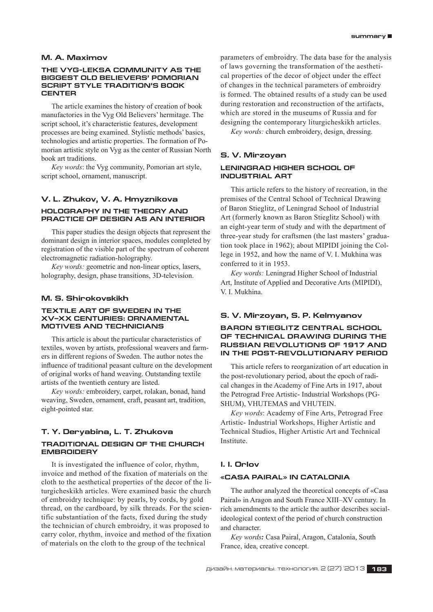## **M. A. Maximov**

### **THE VYG−LEKSA COMMUNITY AS THE BIGGEST OLD BELIEVERS' POMORIAN SCRIPT STYLE TRADITION'S BOOK CENTER**

The article examines the history of creation of book manufactories in the Vyg Old Believers' hermitage. The script school, it's characteristic features, development processes are being examined. Stylistic methods' basics, technologies and artistic properties. The formation of Pomorian artistic style on Vyg as the center of Russian North book art traditions.

*Key words*: the Vyg community, Pomorian art style, script school, ornament, manuscript.

# **V. L. Zhukov, V. A. Hmyznikova HOLOGRAPHY IN THE THEORY AND PRACTICE OF DESIGN AS AN INTERIOR**

This paper studies the design objects that represent the dominant design in interior spaces, modules completed by registration of the visible part of the spectrum of coherent electromagnetic radiation-holography.

*Key words:* geometric and non-linear optics, lasers, holography, design, phase transitions, 3D-television.

### **M. S. Shirokovskikh**

### **TEXTILE ART OF SWEDEN IN THE XV–XX CENTURIES: ORNAMENTAL MOTIVES AND TECHNICIANS**

This article is about the particular characteristics of textiles, woven by artists, professional weavers and farmers in different regions of Sweden. The author notes the influence of traditional peasant culture on the development of original works of hand weaving. Outstanding textile artists of the twentieth century are listed.

*Key words:* embroidery, carpet, rolakan, bonad, hand weaving, Sweden, ornament, craft, peasant art, tradition, eight-pointed star.

# **T. Y. Deryabina, L. T. Zhukova**

# **TRADITIONAL DESIGN OF THE CHURCH EMBROIDERY**

It is investigated the influence of color, rhythm, invoice and method of the fixation of materials on the cloth to the aesthetical properties of the decor of the liturgicheskikh articles. Were examined basic the church of embroidry technique: by pearls, by cords, by gold thread, on the cardboard, by silk threads. For the scientific substantiation of the facts, fixed during the study the technician of church embroidry, it was proposed to carry color, rhythm, invoice and method of the fixation of materials on the cloth to the group of the technical

parameters of embroidry. The data base for the analysis of laws governing the transformation of the aesthetical properties of the decor of object under the effect of changes in the technical parameters of embroidry is formed. The obtained results of a study can be used during restoration and reconstruction of the artifacts, which are stored in the museums of Russia and for designing the contemporary liturgicheskikh articles.

*Key words:* church embroidery, design, dressing.

# **S. V. Mirzoyan LENINGRAD HIGHER SCHOOL OF INDUSTRIAL ART**

This article refers to the history of recreation, in the premises of the Central School of Technical Drawing of Baron Stieglitz, of Leningrad School of Industrial Art (formerly known as Baron Stieglitz School) with an eight-year term of study and with the department of three-year study for craftsmen (the last masters' graduation took place in 1962); about MIPIDI joining the College in 1952, and how the name of V. I. Mukhina was conferred to it in 1953.

*Key words:* Leningrad Higher School of Industrial Art, Institute of Applied and Decorative Arts (MIPIDI), V. I. Mukhina.

# **S. V. Mirzoyan, S. P. Kelmyanov**

### **BARON STIEGLITZ CENTRAL SCHOOL OF TECHNICAL DRAWING DURING THE RUSSIAN REVOLUTIONS OF 1917 AND IN THE POST−REVOLUTIONARY PERIOD**

This article refers to reorganization of art education in the post-revolutionary period, about the epoch of radical changes in the Academy of Fine Arts in 1917, about the Petrograd Free Artistic- Industrial Workshops (PG-SHUM), VHUTEMAS and VHUTEIN.

*Key words*: Academy of Fine Arts, Petrograd Free Artistic- Industrial Workshops, Higher Artistic and Technical Studios, Higher Artistic Art and Technical Institute.

### **I. I. Orlov**

#### **«CASA PAIRAL» IN CATALONIA**

The author analyzed the theoretical concepts of «Casa Pairal» in Aragon and South France XIII–XV century. In rich amendments to the article the author describes socialideological context of the period of church construction and character.

*Key words:* Casa Pairal, Aragon, Catalonia, South France, idea, creative concept.